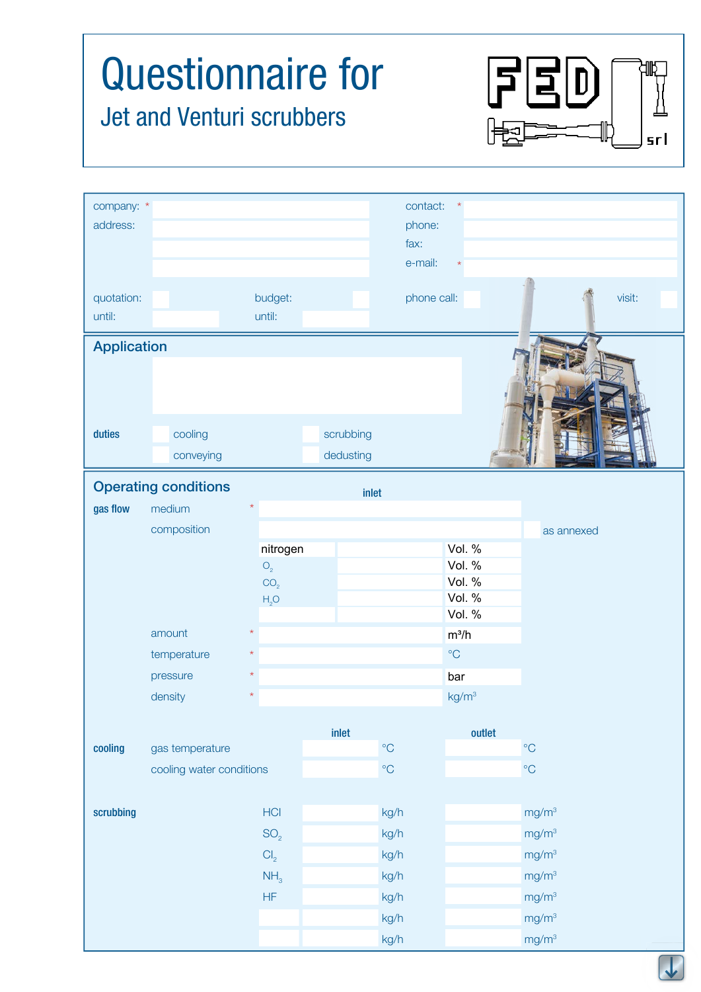## Questionnaire for  $\Xi$ <sup>D</sup> Jet and Venturi scrubbers srl company: \* contact: \* \* address: phone: fax: e-mail: \* quotation: budget: phone call: visit: visit: until: until: Application duties cooling cooling scrubbing conveying and a state of dedusting Operating conditions inlet gas flow medium \* composition as annexed nitrogen Vol. % Vol. %  $O<sub>2</sub>$ Vol. %  $CO<sub>2</sub>$ Vol. %  $H<sub>2</sub>O$ Vol. % amount  $m^3/h$ \* temperature  $\star$   $\sim$   $\sim$   $\sim$   $\sim$   $\sim$   $\sim$ \* pressure \* bardensity  $\star$   $\star$  kg/m<sup>3</sup> \* inlet outlet the control of the control of the control of the control of the control of the control of the control of the control of the control of the control of the control of the control of the control of the control of cooling gas temperature and the cooling gas temperature  $^{\circ}$ C  $^{\circ}$ C  $^{\circ}$ C cooling water conditions and the cooling water conditions of  $\mathrm{C}$  $\operatorname{\sf scrubbing}$  is the contract of the HCI contract of the contract  $\operatorname{\sf kg}/\mathsf h$  contract  $\operatorname{\sf mg}/\mathsf m^3$  $\mathsf{SO}_2$  kg/h mg/m<sup>3</sup>  $Cl_2$  kg/h mg/m<sup>3</sup>  $NH<sub>3</sub>$  kg/h mg/m<sup>3</sup> HF kg/h mg/m3 kg/h mg/m<sup>3</sup>

kg/h mg/m<sup>3</sup>